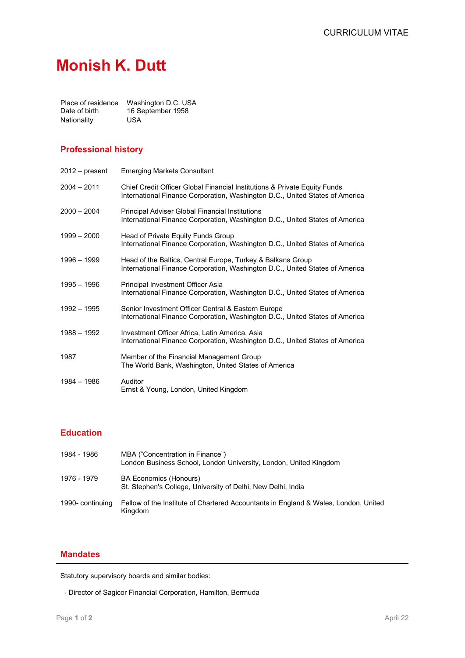# **Monish K. Dutt**

| Place of residence | Washington D.C. USA |
|--------------------|---------------------|
| Date of birth      | 16 September 1958   |
| Nationality        | USA                 |

#### **Professional history**

| $2012 - present$ | <b>Emerging Markets Consultant</b>                                                                                                                        |
|------------------|-----------------------------------------------------------------------------------------------------------------------------------------------------------|
| $2004 - 2011$    | Chief Credit Officer Global Financial Institutions & Private Equity Funds<br>International Finance Corporation, Washington D.C., United States of America |
| $2000 - 2004$    | Principal Adviser Global Financial Institutions<br>International Finance Corporation, Washington D.C., United States of America                           |
| $1999 - 2000$    | Head of Private Equity Funds Group<br>International Finance Corporation, Washington D.C., United States of America                                        |
| 1996 - 1999      | Head of the Baltics, Central Europe, Turkey & Balkans Group<br>International Finance Corporation, Washington D.C., United States of America               |
| 1995 - 1996      | Principal Investment Officer Asia<br>International Finance Corporation, Washington D.C., United States of America                                         |
| $1992 - 1995$    | Senior Investment Officer Central & Eastern Europe<br>International Finance Corporation, Washington D.C., United States of America                        |
| 1988 - 1992      | Investment Officer Africa, Latin America, Asia<br>International Finance Corporation, Washington D.C., United States of America                            |
| 1987             | Member of the Financial Management Group<br>The World Bank, Washington, United States of America                                                          |
| 1984 - 1986      | Auditor<br>Ernst & Young, London, United Kingdom                                                                                                          |

## **Education**

| 1984 - 1986      | MBA ("Concentration in Finance")<br>London Business School, London University, London, United Kingdom |
|------------------|-------------------------------------------------------------------------------------------------------|
| 1976 - 1979      | <b>BA Economics (Honours)</b><br>St. Stephen's College, University of Delhi, New Delhi, India         |
| 1990- continuing | Fellow of the Institute of Chartered Accountants in England & Wales, London, United<br>Kingdom        |

## **Mandates**

Statutory supervisory boards and similar bodies:

⋅ Director of Sagicor Financial Corporation, Hamilton, Bermuda